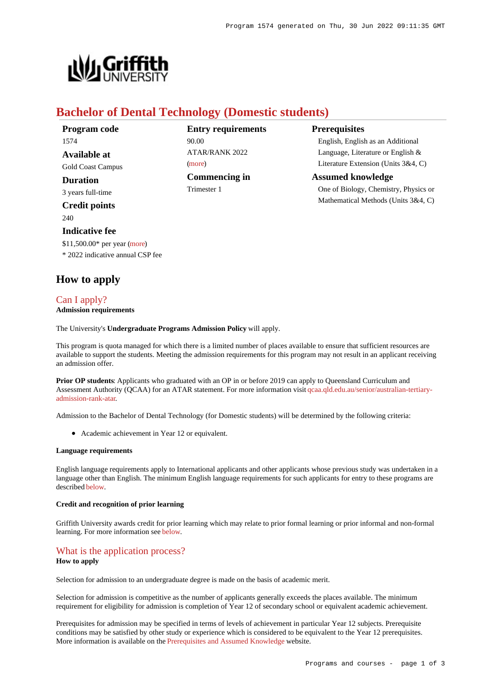

# **Bachelor of Dental Technology (Domestic students)**

| Program code          |
|-----------------------|
| 1574                  |
| Available at          |
| Gold Coast Campus     |
| Duration              |
| 3 years full-time     |
| <b>Credit points</b>  |
| 240                   |
| <b>Indicative fee</b> |

**Entry requirements** 90.00 ATAR/RANK 2022 [\(more](https://www148.griffith.edu.au/programs-courses/Program/1574/HowToApply/Domestic#tac-entry-requirements)) **Commencing in** Trimester 1

**Prerequisites**

English, English as an Additional Language, Literature or English & Literature Extension (Units 3&4, C)

# **Assumed knowledge** One of Biology, Chemistry, Physics or

Mathematical Methods (Units 3&4, C)

\$11,500.00\* per year [\(more](https://www148.griffith.edu.au/programs-courses/Program/1574/Overview/Domestic#fees)) \* 2022 indicative annual CSP fee

# **How to apply**

# [Can I apply?](https://www148.griffith.edu.au/programs-courses/Program/1574/HowToApply/Domestic#can-i-apply)

# **Admission requirements**

The University's **Undergraduate Programs Admission Policy** will apply.

This program is quota managed for which there is a limited number of places available to ensure that sufficient resources are available to support the students. Meeting the admission requirements for this program may not result in an applicant receiving an admission offer.

**Prior OP students**: Applicants who graduated with an OP in or before 2019 can apply to Queensland Curriculum and Assessment Authority (QCAA) for an ATAR statement. For more information visit [qcaa.qld.edu.au/senior/australian-tertiary](http://qcaa.qld.edu.au/senior/australian-tertiary-admission-rank-atar)[admission-rank-atar](http://qcaa.qld.edu.au/senior/australian-tertiary-admission-rank-atar).

Admission to the Bachelor of Dental Technology (for Domestic students) will be determined by the following criteria:

Academic achievement in Year 12 or equivalent.

#### **Language requirements**

English language requirements apply to International applicants and other applicants whose previous study was undertaken in a language other than English. The minimum English language requirements for such applicants for entry to these programs are described [below](https://www148.griffith.edu.au/programs-courses/Program/1574/HowToApply/Domestic#language).

## **Credit and recognition of prior learning**

Griffith University awards credit for prior learning which may relate to prior formal learning or prior informal and non-formal learning. For more information see [below](https://www148.griffith.edu.au/programs-courses/Program/1574/HowToApply/Domestic#credit).

## [What is the application process?](https://www148.griffith.edu.au/programs-courses/Program/1574/HowToApply/Domestic#process) **How to apply**

Selection for admission to an undergraduate degree is made on the basis of academic merit.

Selection for admission is competitive as the number of applicants generally exceeds the places available. The minimum requirement for eligibility for admission is completion of Year 12 of secondary school or equivalent academic achievement.

Prerequisites for admission may be specified in terms of levels of achievement in particular Year 12 subjects. Prerequisite conditions may be satisfied by other study or experience which is considered to be equivalent to the Year 12 prerequisites. More information is available on the [Prerequisites and Assumed Knowledge](https://www.griffith.edu.au/apply/prerequisites-assumed-knowledge) website.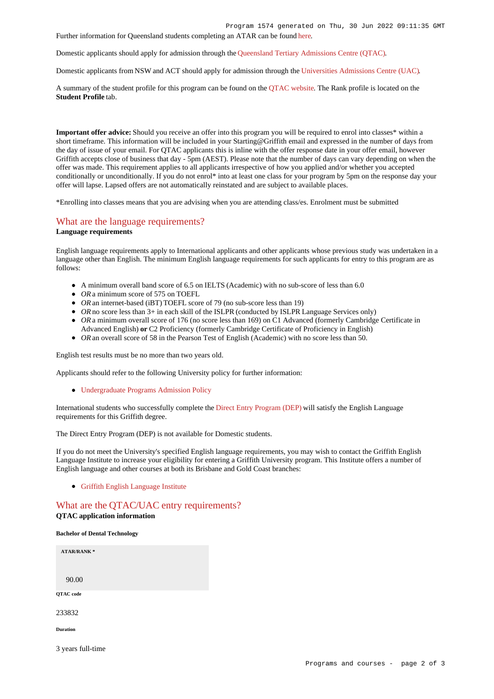Further information for Queensland students completing an ATAR can be found [here](https://www.griffith.edu.au/apply/undergraduate-study/high-school-students/admission-in-2021).

Domestic applicants should apply for admission through the [Queensland Tertiary Admissions Centre \(QTAC\)](http://www.qtac.edu.au/).

Domestic applicants from NSW and ACT should apply for admission through the [Universities Admissions Centre \(UAC\)](http://www.uac.edu.au/).

A summary of the student profile for this program can be found on the [QTAC website](https://www.qtac.edu.au/courses/listing/bachelor-of-dental-technology-233832/). The Rank profile is located on the **Student Profile** tab.

**Important offer advice:** Should you receive an offer into this program you will be required to enrol into classes\* within a short timeframe. This information will be included in your Starting@Griffith email and expressed in the number of days from the day of issue of your email. For QTAC applicants this is inline with the offer response date in your offer email, however Griffith accepts close of business that day - 5pm (AEST). Please note that the number of days can vary depending on when the offer was made. This requirement applies to all applicants irrespective of how you applied and/or whether you accepted conditionally or unconditionally. If you do not enrol\* into at least one class for your program by 5pm on the response day your offer will lapse. Lapsed offers are not automatically reinstated and are subject to available places.

\*Enrolling into classes means that you are advising when you are attending class/es. Enrolment must be submitted

## [What are the language requirements?](https://www148.griffith.edu.au/programs-courses/Program/1574/HowToApply/Domestic#language) **Language requirements**

English language requirements apply to International applicants and other applicants whose previous study was undertaken in a language other than English. The minimum English language requirements for such applicants for entry to this program are as follows:

- A minimum overall band score of 6.5 on IELTS (Academic) with no sub-score of less than 6.0
- OR a minimum score of 575 on TOEFL
- *OR* an internet-based (iBT) TOEFL score of 79 (no sub-score less than 19)
- OR no score less than 3+ in each skill of the ISLPR (conducted by ISLPR Language Services only)
- OR a minimum overall score of 176 (no score less than 169) on C1 Advanced (formerly Cambridge Certificate in Advanced English) **or** C2 Proficiency (formerly Cambridge Certificate of Proficiency in English)
- OR an overall score of 58 in the Pearson Test of English (Academic) with no score less than 50.

English test results must be no more than two years old.

Applicants should refer to the following University policy for further information:

[Undergraduate Programs Admission Policy](http://policies.griffith.edu.au/pdf/Undergraduate Programs Admission Policy.pdf)

International students who successfully complete the [Direct Entry Program \(DEP\)](https://www.griffith.edu.au/international/griffith-english-language-institute/courses/direct-entry-program) will satisfy the English Language requirements for this Griffith degree.

The Direct Entry Program (DEP) is not available for Domestic students.

If you do not meet the University's specified English language requirements, you may wish to contact the Griffith English Language Institute to increase your eligibility for entering a Griffith University program. This Institute offers a number of English language and other courses at both its Brisbane and Gold Coast branches:

[Griffith English Language Institute](https://www.griffith.edu.au/international/griffith-english-language-institute)

# [What are the QTAC/UAC entry requirements?](https://www148.griffith.edu.au/programs-courses/Program/1574/HowToApply/Domestic#tac-entry-requirements)

### **QTAC application information**

#### **Bachelor of Dental Technology**

| <b>ATAR/RANK*</b> |  |  |
|-------------------|--|--|
|                   |  |  |
|                   |  |  |
| 90.00             |  |  |
| QTAC code         |  |  |
|                   |  |  |
| 233832            |  |  |
|                   |  |  |
| <b>Duration</b>   |  |  |
|                   |  |  |
| 3 years full-time |  |  |